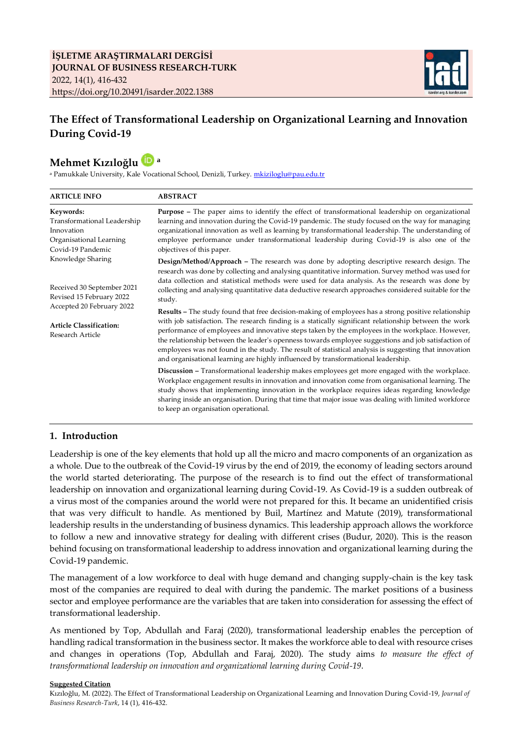

# **The Effect of Transformational Leadership on Organizational Learning and Innovation During Covid-19**

# **Mehmet Kızıloğlu a**

<sup>a</sup> Pamukkale University, Kale Vocational School, Denizli, Turkey. <u>mkiziloglu@pau.edu.tr</u>

| <b>ARTICLE INFO</b>                                                                                                                                            | <b>ABSTRACT</b>                                                                                                                                                                                                                                                                                                                                                                                                                                                                                                                                                                                                              |
|----------------------------------------------------------------------------------------------------------------------------------------------------------------|------------------------------------------------------------------------------------------------------------------------------------------------------------------------------------------------------------------------------------------------------------------------------------------------------------------------------------------------------------------------------------------------------------------------------------------------------------------------------------------------------------------------------------------------------------------------------------------------------------------------------|
| Keywords:<br>Transformational Leadership<br>Innovation<br>Organisational Learning<br>Covid-19 Pandemic                                                         | <b>Purpose</b> – The paper aims to identify the effect of transformational leadership on organizational<br>learning and innovation during the Covid-19 pandemic. The study focused on the way for managing<br>organizational innovation as well as learning by transformational leadership. The understanding of<br>employee performance under transformational leadership during Covid-19 is also one of the<br>objectives of this paper.                                                                                                                                                                                   |
| Knowledge Sharing<br>Received 30 September 2021<br>Revised 15 February 2022<br>Accepted 20 February 2022<br><b>Article Classification:</b><br>Research Article | Design/Method/Approach - The research was done by adopting descriptive research design. The<br>research was done by collecting and analysing quantitative information. Survey method was used for<br>data collection and statistical methods were used for data analysis. As the research was done by<br>collecting and analysing quantitative data deductive research approaches considered suitable for the<br>study.                                                                                                                                                                                                      |
|                                                                                                                                                                | <b>Results</b> – The study found that free decision-making of employees has a strong positive relationship<br>with job satisfaction. The research finding is a statically significant relationship between the work<br>performance of employees and innovative steps taken by the employees in the workplace. However,<br>the relationship between the leader's openness towards employee suggestions and job satisfaction of<br>employees was not found in the study. The result of statistical analysis is suggesting that innovation<br>and organisational learning are highly influenced by transformational leadership. |
|                                                                                                                                                                | Discussion - Transformational leadership makes employees get more engaged with the workplace.<br>Workplace engagement results in innovation and innovation come from organisational learning. The<br>study shows that implementing innovation in the workplace requires ideas regarding knowledge<br>sharing inside an organisation. During that time that major issue was dealing with limited workforce<br>to keep an organisation operational.                                                                                                                                                                            |

# **1. Introduction**

Leadership is one of the key elements that hold up all the micro and macro components of an organization as a whole. Due to the outbreak of the Covid-19 virus by the end of 2019, the economy of leading sectors around the world started deteriorating. The purpose of the research is to find out the effect of transformational leadership on innovation and organizational learning during Covid-19. As Covid-19 is a sudden outbreak of a virus most of the companies around the world were not prepared for this. It became an unidentified crisis that was very difficult to handle. As mentioned by Buil, Martínez and Matute (2019), transformational leadership results in the understanding of business dynamics. This leadership approach allows the workforce to follow a new and innovative strategy for dealing with different crises (Budur, 2020). This is the reason behind focusing on transformational leadership to address innovation and organizational learning during the Covid-19 pandemic.

The management of a low workforce to deal with huge demand and changing supply-chain is the key task most of the companies are required to deal with during the pandemic. The market positions of a business sector and employee performance are the variables that are taken into consideration for assessing the effect of transformational leadership.

As mentioned by Top, Abdullah and Faraj (2020), transformational leadership enables the perception of handling radical transformation in the business sector. It makes the workforce able to deal with resource crises and changes in operations (Top, Abdullah and Faraj, 2020). The study aims *to measure the effect of transformational leadership on innovation and organizational learning during Covid-19*.

#### **Suggested Citation**

Kızıloğlu, M. (2022). The Effect of Transformational Leadership on Organizational Learning and Innovation During Covid-19, *Journal of Business Research-Turk*, 14 (1), 416-432.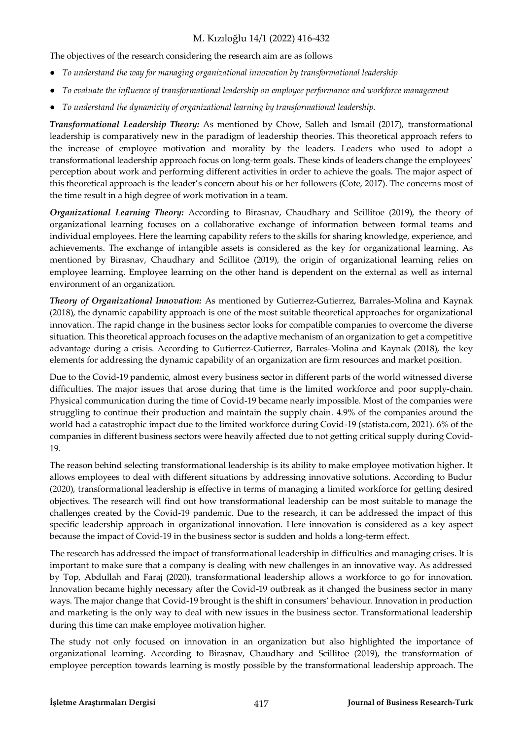The objectives of the research considering the research aim are as follows

- *To understand the way for managing organizational innovation by transformational leadership*
- *To evaluate the influence of transformational leadership on employee performance and workforce management*
- *To understand the dynamicity of organizational learning by transformational leadership.*

*Transformational Leadership Theory:* As mentioned by Chow, Salleh and Ismail (2017), transformational leadership is comparatively new in the paradigm of leadership theories. This theoretical approach refers to the increase of employee motivation and morality by the leaders. Leaders who used to adopt a transformational leadership approach focus on long-term goals. These kinds of leaders change the employees' perception about work and performing different activities in order to achieve the goals. The major aspect of this theoretical approach is the leader's concern about his or her followers (Cote, 2017). The concerns most of the time result in a high degree of work motivation in a team.

*Organizational Learning Theory:* According to Birasnav, Chaudhary and Scillitoe (2019), the theory of organizational learning focuses on a collaborative exchange of information between formal teams and individual employees. Here the learning capability refers to the skills for sharing knowledge, experience, and achievements. The exchange of intangible assets is considered as the key for organizational learning. As mentioned by Birasnav, Chaudhary and Scillitoe (2019), the origin of organizational learning relies on employee learning. Employee learning on the other hand is dependent on the external as well as internal environment of an organization.

*Theory of Organizational Innovation:* As mentioned by Gutierrez-Gutierrez, Barrales-Molina and Kaynak (2018), the dynamic capability approach is one of the most suitable theoretical approaches for organizational innovation. The rapid change in the business sector looks for compatible companies to overcome the diverse situation. This theoretical approach focuses on the adaptive mechanism of an organization to get a competitive advantage during a crisis. According to Gutierrez-Gutierrez, Barrales-Molina and Kaynak (2018), the key elements for addressing the dynamic capability of an organization are firm resources and market position.

Due to the Covid-19 pandemic, almost every business sector in different parts of the world witnessed diverse difficulties. The major issues that arose during that time is the limited workforce and poor supply-chain. Physical communication during the time of Covid-19 became nearly impossible. Most of the companies were struggling to continue their production and maintain the supply chain. 4.9% of the companies around the world had a catastrophic impact due to the limited workforce during Covid-19 (statista.com, 2021). 6% of the companies in different business sectors were heavily affected due to not getting critical supply during Covid-19.

The reason behind selecting transformational leadership is its ability to make employee motivation higher. It allows employees to deal with different situations by addressing innovative solutions. According to Budur (2020), transformational leadership is effective in terms of managing a limited workforce for getting desired objectives. The research will find out how transformational leadership can be most suitable to manage the challenges created by the Covid-19 pandemic. Due to the research, it can be addressed the impact of this specific leadership approach in organizational innovation. Here innovation is considered as a key aspect because the impact of Covid-19 in the business sector is sudden and holds a long-term effect.

The research has addressed the impact of transformational leadership in difficulties and managing crises. It is important to make sure that a company is dealing with new challenges in an innovative way. As addressed by Top, Abdullah and Faraj (2020), transformational leadership allows a workforce to go for innovation. Innovation became highly necessary after the Covid-19 outbreak as it changed the business sector in many ways. The major change that Covid-19 brought is the shift in consumers' behaviour. Innovation in production and marketing is the only way to deal with new issues in the business sector. Transformational leadership during this time can make employee motivation higher.

The study not only focused on innovation in an organization but also highlighted the importance of organizational learning. According to Birasnav, Chaudhary and Scillitoe (2019), the transformation of employee perception towards learning is mostly possible by the transformational leadership approach. The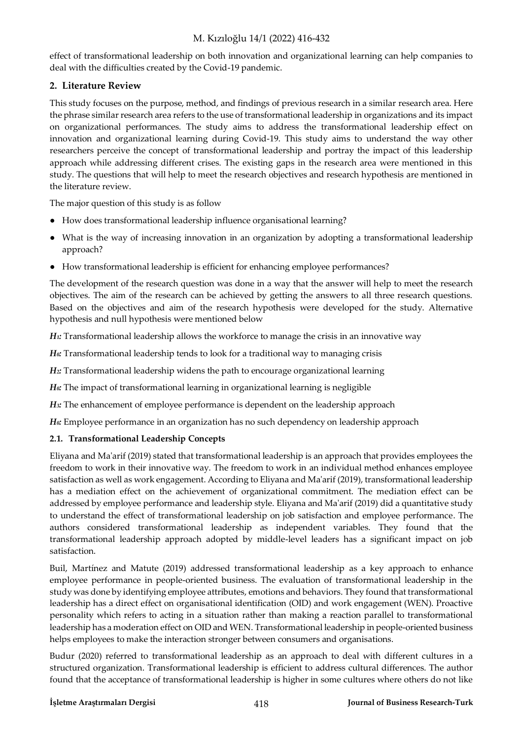effect of transformational leadership on both innovation and organizational learning can help companies to deal with the difficulties created by the Covid-19 pandemic.

# **2. Literature Review**

This study focuses on the purpose, method, and findings of previous research in a similar research area. Here the phrase similar research area refers to the use of transformational leadership in organizations and its impact on organizational performances. The study aims to address the transformational leadership effect on innovation and organizational learning during Covid-19. This study aims to understand the way other researchers perceive the concept of transformational leadership and portray the impact of this leadership approach while addressing different crises. The existing gaps in the research area were mentioned in this study. The questions that will help to meet the research objectives and research hypothesis are mentioned in the literature review.

The major question of this study is as follow

- How does transformational leadership influence organisational learning?
- What is the way of increasing innovation in an organization by adopting a transformational leadership approach?
- How transformational leadership is efficient for enhancing employee performances?

The development of the research question was done in a way that the answer will help to meet the research objectives. The aim of the research can be achieved by getting the answers to all three research questions. Based on the objectives and aim of the research hypothesis were developed for the study. Alternative hypothesis and null hypothesis were mentioned below

*H<sub>1</sub>*: Transformational leadership allows the workforce to manage the crisis in an innovative way

*H0:* Transformational leadership tends to look for a traditional way to managing crisis

*H2:* Transformational leadership widens the path to encourage organizational learning

*H0:* The impact of transformational learning in organizational learning is negligible

*H3:* The enhancement of employee performance is dependent on the leadership approach

*H0:* Employee performance in an organization has no such dependency on leadership approach

# **2.1. Transformational Leadership Concepts**

Eliyana and Ma'arif (2019) stated that transformational leadership is an approach that provides employees the freedom to work in their innovative way. The freedom to work in an individual method enhances employee satisfaction as well as work engagement. According to Eliyana and Ma'arif (2019), transformational leadership has a mediation effect on the achievement of organizational commitment. The mediation effect can be addressed by employee performance and leadership style. Eliyana and Ma'arif (2019) did a quantitative study to understand the effect of transformational leadership on job satisfaction and employee performance. The authors considered transformational leadership as independent variables. They found that the transformational leadership approach adopted by middle-level leaders has a significant impact on job satisfaction.

Buil, Martínez and Matute (2019) addressed transformational leadership as a key approach to enhance employee performance in people-oriented business. The evaluation of transformational leadership in the study was done by identifying employee attributes, emotions and behaviors. They found that transformational leadership has a direct effect on organisational identification (OID) and work engagement (WEN). Proactive personality which refers to acting in a situation rather than making a reaction parallel to transformational leadership has a moderation effect on OID and WEN. Transformational leadership in people-oriented business helps employees to make the interaction stronger between consumers and organisations.

Budur (2020) referred to transformational leadership as an approach to deal with different cultures in a structured organization. Transformational leadership is efficient to address cultural differences. The author found that the acceptance of transformational leadership is higher in some cultures where others do not like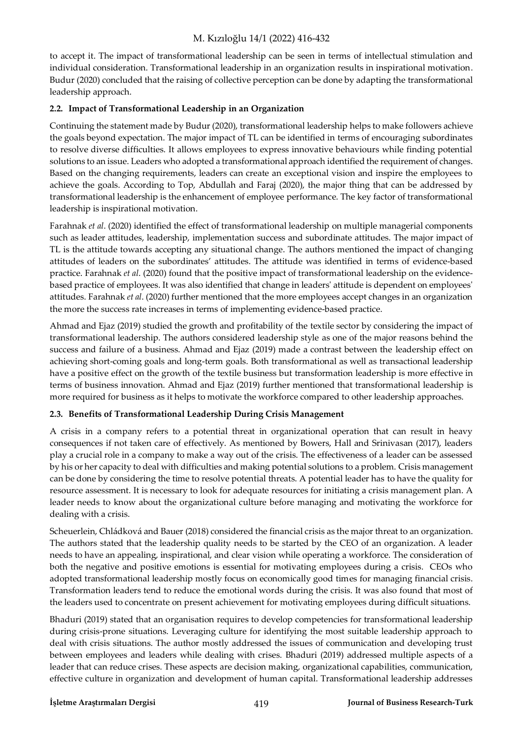to accept it. The impact of transformational leadership can be seen in terms of intellectual stimulation and individual consideration. Transformational leadership in an organization results in inspirational motivation. Budur (2020) concluded that the raising of collective perception can be done by adapting the transformational leadership approach.

# **2.2. Impact of Transformational Leadership in an Organization**

Continuing the statement made by Budur (2020), transformational leadership helps to make followers achieve the goals beyond expectation. The major impact of TL can be identified in terms of encouraging subordinates to resolve diverse difficulties. It allows employees to express innovative behaviours while finding potential solutions to an issue. Leaders who adopted a transformational approach identified the requirement of changes. Based on the changing requirements, leaders can create an exceptional vision and inspire the employees to achieve the goals. According to Top, Abdullah and Faraj (2020), the major thing that can be addressed by transformational leadership is the enhancement of employee performance. The key factor of transformational leadership is inspirational motivation.

Farahnak *et al*. (2020) identified the effect of transformational leadership on multiple managerial components such as leader attitudes, leadership, implementation success and subordinate attitudes. The major impact of TL is the attitude towards accepting any situational change. The authors mentioned the impact of changing attitudes of leaders on the subordinates' attitudes. The attitude was identified in terms of evidence-based practice. Farahnak *et al*. (2020) found that the positive impact of transformational leadership on the evidencebased practice of employees. It was also identified that change in leaders' attitude is dependent on employees' attitudes. Farahnak *et al*. (2020) further mentioned that the more employees accept changes in an organization the more the success rate increases in terms of implementing evidence-based practice.

Ahmad and Ejaz (2019) studied the growth and profitability of the textile sector by considering the impact of transformational leadership. The authors considered leadership style as one of the major reasons behind the success and failure of a business. Ahmad and Ejaz (2019) made a contrast between the leadership effect on achieving short-coming goals and long-term goals. Both transformational as well as transactional leadership have a positive effect on the growth of the textile business but transformation leadership is more effective in terms of business innovation. Ahmad and Ejaz (2019) further mentioned that transformational leadership is more required for business as it helps to motivate the workforce compared to other leadership approaches.

# **2.3. Benefits of Transformational Leadership During Crisis Management**

A crisis in a company refers to a potential threat in organizational operation that can result in heavy consequences if not taken care of effectively. As mentioned by Bowers, Hall and Srinivasan (2017), leaders play a crucial role in a company to make a way out of the crisis. The effectiveness of a leader can be assessed by his or her capacity to deal with difficulties and making potential solutions to a problem. Crisis management can be done by considering the time to resolve potential threats. A potential leader has to have the quality for resource assessment. It is necessary to look for adequate resources for initiating a crisis management plan. A leader needs to know about the organizational culture before managing and motivating the workforce for dealing with a crisis.

Scheuerlein, Chládková and Bauer (2018) considered the financial crisis as the major threat to an organization. The authors stated that the leadership quality needs to be started by the CEO of an organization. A leader needs to have an appealing, inspirational, and clear vision while operating a workforce. The consideration of both the negative and positive emotions is essential for motivating employees during a crisis. CEOs who adopted transformational leadership mostly focus on economically good times for managing financial crisis. Transformation leaders tend to reduce the emotional words during the crisis. It was also found that most of the leaders used to concentrate on present achievement for motivating employees during difficult situations.

Bhaduri (2019) stated that an organisation requires to develop competencies for transformational leadership during crisis-prone situations. Leveraging culture for identifying the most suitable leadership approach to deal with crisis situations. The author mostly addressed the issues of communication and developing trust between employees and leaders while dealing with crises. Bhaduri (2019) addressed multiple aspects of a leader that can reduce crises. These aspects are decision making, organizational capabilities, communication, effective culture in organization and development of human capital. Transformational leadership addresses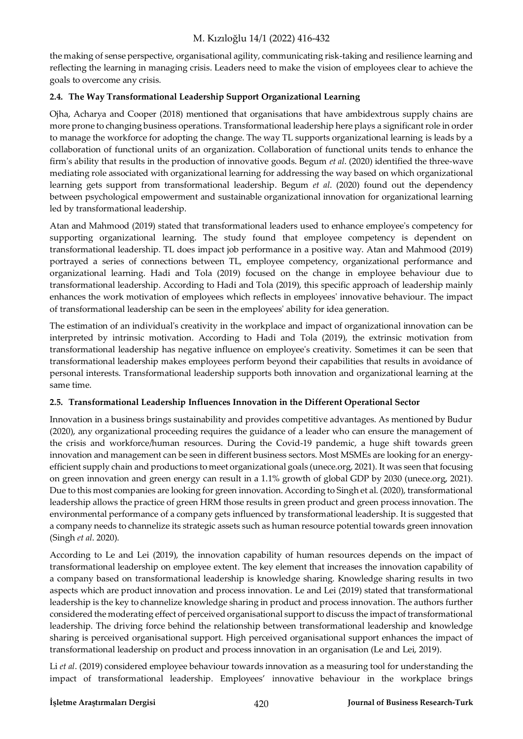the making of sense perspective, organisational agility, communicating risk-taking and resilience learning and reflecting the learning in managing crisis. Leaders need to make the vision of employees clear to achieve the goals to overcome any crisis.

# **2.4. The Way Transformational Leadership Support Organizational Learning**

Ojha, Acharya and Cooper (2018) mentioned that organisations that have ambidextrous supply chains are more prone to changing business operations. Transformational leadership here plays a significant role in order to manage the workforce for adopting the change. The way TL supports organizational learning is leads by a collaboration of functional units of an organization. Collaboration of functional units tends to enhance the firm's ability that results in the production of innovative goods. Begum *et al*. (2020) identified the three-wave mediating role associated with organizational learning for addressing the way based on which organizational learning gets support from transformational leadership. Begum *et al*. (2020) found out the dependency between psychological empowerment and sustainable organizational innovation for organizational learning led by transformational leadership.

Atan and Mahmood (2019) stated that transformational leaders used to enhance employee's competency for supporting organizational learning. The study found that employee competency is dependent on transformational leadership. TL does impact job performance in a positive way. Atan and Mahmood (2019) portrayed a series of connections between TL, employee competency, organizational performance and organizational learning. Hadi and Tola (2019) focused on the change in employee behaviour due to transformational leadership. According to Hadi and Tola (2019), this specific approach of leadership mainly enhances the work motivation of employees which reflects in employees' innovative behaviour. The impact of transformational leadership can be seen in the employees' ability for idea generation.

The estimation of an individual's creativity in the workplace and impact of organizational innovation can be interpreted by intrinsic motivation. According to Hadi and Tola (2019), the extrinsic motivation from transformational leadership has negative influence on employee's creativity. Sometimes it can be seen that transformational leadership makes employees perform beyond their capabilities that results in avoidance of personal interests. Transformational leadership supports both innovation and organizational learning at the same time.

# **2.5. Transformational Leadership Influences Innovation in the Different Operational Sector**

Innovation in a business brings sustainability and provides competitive advantages. As mentioned by Budur (2020), any organizational proceeding requires the guidance of a leader who can ensure the management of the crisis and workforce/human resources. During the Covid-19 pandemic, a huge shift towards green innovation and management can be seen in different business sectors. Most MSMEs are looking for an energyefficient supply chain and productions to meet organizational goals (unece.org, 2021). It was seen that focusing on green innovation and green energy can result in a 1.1% growth of global GDP by 2030 (unece.org, 2021). Due to this most companies are looking for green innovation. According to Singh et al. (2020), transformational leadership allows the practice of green HRM those results in green product and green process innovation. The environmental performance of a company gets influenced by transformational leadership. It is suggested that a company needs to channelize its strategic assets such as human resource potential towards green innovation (Singh *et al*. 2020).

According to Le and Lei (2019), the innovation capability of human resources depends on the impact of transformational leadership on employee extent. The key element that increases the innovation capability of a company based on transformational leadership is knowledge sharing. Knowledge sharing results in two aspects which are product innovation and process innovation. Le and Lei (2019) stated that transformational leadership is the key to channelize knowledge sharing in product and process innovation. The authors further considered the moderating effect of perceived organisational support to discuss the impact of transformational leadership. The driving force behind the relationship between transformational leadership and knowledge sharing is perceived organisational support. High perceived organisational support enhances the impact of transformational leadership on product and process innovation in an organisation (Le and Lei, 2019).

Li *et al*. (2019) considered employee behaviour towards innovation as a measuring tool for understanding the impact of transformational leadership. Employees' innovative behaviour in the workplace brings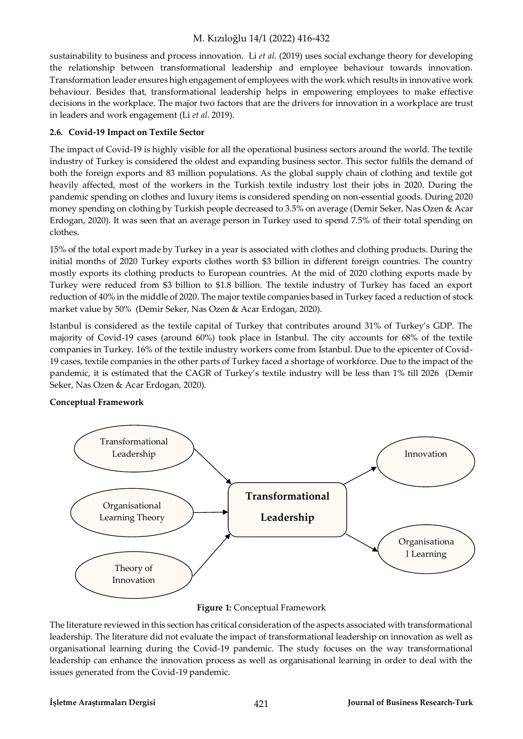sustainability to business and process innovation. Li *et al*. (2019) uses social exchange theory for developing the relationship between transformational leadership and employee behaviour towards innovation. Transformation leader ensures high engagement of employees with the work which results in innovative work behaviour. Besides that, transformational leadership helps in empowering employees to make effective decisions in the workplace. The major two factors that are the drivers for innovation in a workplace are trust in leaders and work engagement (Li *et al*. 2019).

### **2.6. Covid-19 Impact on Textile Sector**

The impact of Covid-19 is highly visible for all the operational business sectors around the world. The textile industry of Turkey is considered the oldest and expanding business sector. This sector fulfils the demand of both the foreign exports and 83 million populations. As the global supply chain of clothing and textile got heavily affected, most of the workers in the Turkish textile industry lost their jobs in 2020. During the pandemic spending on clothes and luxury items is considered spending on non-essential goods. During 2020 money spending on clothing by Turkish people decreased to 3.5% on average (Demir Seker, Nas Ozen & Acar Erdogan, 2020). It was seen that an average person in Turkey used to spend 7.5% of their total spending on clothes.

15% of the total export made by Turkey in a year is associated with clothes and clothing products. During the initial months of 2020 Turkey exports clothes worth \$3 billion in different foreign countries. The country mostly exports its clothing products to European countries. At the mid of 2020 clothing exports made by Turkey were reduced from \$3 billion to \$1.8 billion. The textile industry of Turkey has faced an export reduction of 40% in the middle of 2020. The major textile companies based in Turkey faced a reduction of stock market value by 50% (Demir Seker, Nas Ozen & Acar Erdogan, 2020).

Istanbul is considered as the textile capital of Turkey that contributes around 31% of Turkey's GDP. The majority of Covid-19 cases (around 60%) took place in Istanbul. The city accounts for 68% of the textile companies in Turkey. 16% of the textile industry workers come from Istanbul. Due to the epicenter of Covid-19 cases, textile companies in the other parts of Turkey faced a shortage of workforce. Due to the impact of the pandemic, it is estimated that the CAGR of Turkey's textile industry will be less than 1% till 2026 (Demir Seker, Nas Ozen & Acar Erdogan, 2020).

# **Conceptual Framework**



#### **Figure 1:** Conceptual Framework

The literature reviewed in this section has critical consideration of the aspects associated with transformational leadership. The literature did not evaluate the impact of transformational leadership on innovation as well as organisational learning during the Covid-19 pandemic. The study focuses on the way transformational leadership can enhance the innovation process as well as organisational learning in order to deal with the issues generated from the Covid-19 pandemic.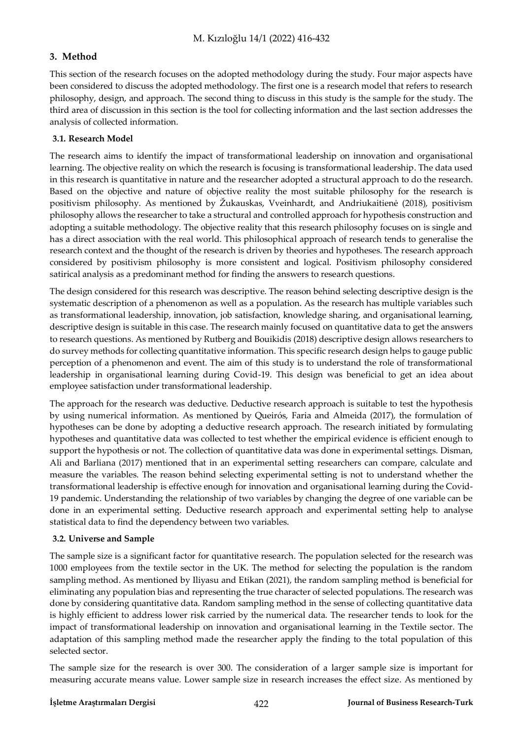# **3. Method**

This section of the research focuses on the adopted methodology during the study. Four major aspects have been considered to discuss the adopted methodology. The first one is a research model that refers to research philosophy, design, and approach. The second thing to discuss in this study is the sample for the study. The third area of discussion in this section is the tool for collecting information and the last section addresses the analysis of collected information.

# **3.1. Research Model**

The research aims to identify the impact of transformational leadership on innovation and organisational learning. The objective reality on which the research is focusing is transformational leadership. The data used in this research is quantitative in nature and the researcher adopted a structural approach to do the research. Based on the objective and nature of objective reality the most suitable philosophy for the research is positivism philosophy. As mentioned by Žukauskas, Vveinhardt, and Andriukaitienė (2018), positivism philosophy allows the researcher to take a structural and controlled approach for hypothesis construction and adopting a suitable methodology. The objective reality that this research philosophy focuses on is single and has a direct association with the real world. This philosophical approach of research tends to generalise the research context and the thought of the research is driven by theories and hypotheses. The research approach considered by positivism philosophy is more consistent and logical. Positivism philosophy considered satirical analysis as a predominant method for finding the answers to research questions.

The design considered for this research was descriptive. The reason behind selecting descriptive design is the systematic description of a phenomenon as well as a population. As the research has multiple variables such as transformational leadership, innovation, job satisfaction, knowledge sharing, and organisational learning, descriptive design is suitable in this case. The research mainly focused on quantitative data to get the answers to research questions. As mentioned by Rutberg and Bouikidis (2018) descriptive design allows researchers to do survey methods for collecting quantitative information. This specific research design helps to gauge public perception of a phenomenon and event. The aim of this study is to understand the role of transformational leadership in organisational learning during Covid-19. This design was beneficial to get an idea about employee satisfaction under transformational leadership.

The approach for the research was deductive. Deductive research approach is suitable to test the hypothesis by using numerical information. As mentioned by Queirós, Faria and Almeida (2017), the formulation of hypotheses can be done by adopting a deductive research approach. The research initiated by formulating hypotheses and quantitative data was collected to test whether the empirical evidence is efficient enough to support the hypothesis or not. The collection of quantitative data was done in experimental settings. Disman, Ali and Barliana (2017) mentioned that in an experimental setting researchers can compare, calculate and measure the variables. The reason behind selecting experimental setting is not to understand whether the transformational leadership is effective enough for innovation and organisational learning during the Covid-19 pandemic. Understanding the relationship of two variables by changing the degree of one variable can be done in an experimental setting. Deductive research approach and experimental setting help to analyse statistical data to find the dependency between two variables.

# **3.2. Universe and Sample**

The sample size is a significant factor for quantitative research. The population selected for the research was 1000 employees from the textile sector in the UK. The method for selecting the population is the random sampling method. As mentioned by Iliyasu and Etikan (2021), the random sampling method is beneficial for eliminating any population bias and representing the true character of selected populations. The research was done by considering quantitative data. Random sampling method in the sense of collecting quantitative data is highly efficient to address lower risk carried by the numerical data. The researcher tends to look for the impact of transformational leadership on innovation and organisational learning in the Textile sector. The adaptation of this sampling method made the researcher apply the finding to the total population of this selected sector.

The sample size for the research is over 300. The consideration of a larger sample size is important for measuring accurate means value. Lower sample size in research increases the effect size. As mentioned by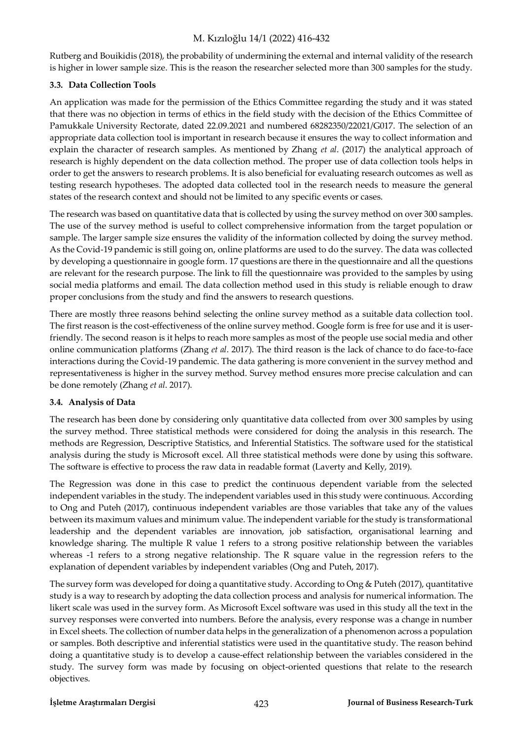Rutberg and Bouikidis (2018), the probability of undermining the external and internal validity of the research is higher in lower sample size. This is the reason the researcher selected more than 300 samples for the study.

# **3.3. Data Collection Tools**

An application was made for the permission of the Ethics Committee regarding the study and it was stated that there was no objection in terms of ethics in the field study with the decision of the Ethics Committee of Pamukkale University Rectorate, dated 22.09.2021 and numbered 68282350/22021/G017. The selection of an appropriate data collection tool is important in research because it ensures the way to collect information and explain the character of research samples. As mentioned by Zhang *et al*. (2017) the analytical approach of research is highly dependent on the data collection method. The proper use of data collection tools helps in order to get the answers to research problems. It is also beneficial for evaluating research outcomes as well as testing research hypotheses. The adopted data collected tool in the research needs to measure the general states of the research context and should not be limited to any specific events or cases.

The research was based on quantitative data that is collected by using the survey method on over 300 samples. The use of the survey method is useful to collect comprehensive information from the target population or sample. The larger sample size ensures the validity of the information collected by doing the survey method. As the Covid-19 pandemic is still going on, online platforms are used to do the survey. The data was collected by developing a questionnaire in google form. 17 questions are there in the questionnaire and all the questions are relevant for the research purpose. The link to fill the questionnaire was provided to the samples by using social media platforms and email. The data collection method used in this study is reliable enough to draw proper conclusions from the study and find the answers to research questions.

There are mostly three reasons behind selecting the online survey method as a suitable data collection tool. The first reason is the cost-effectiveness of the online survey method. Google form is free for use and it is userfriendly. The second reason is it helps to reach more samples as most of the people use social media and other online communication platforms (Zhang *et al*. 2017). The third reason is the lack of chance to do face-to-face interactions during the Covid-19 pandemic. The data gathering is more convenient in the survey method and representativeness is higher in the survey method. Survey method ensures more precise calculation and can be done remotely (Zhang *et al*. 2017).

# **3.4. Analysis of Data**

The research has been done by considering only quantitative data collected from over 300 samples by using the survey method. Three statistical methods were considered for doing the analysis in this research. The methods are Regression, Descriptive Statistics, and Inferential Statistics. The software used for the statistical analysis during the study is Microsoft excel. All three statistical methods were done by using this software. The software is effective to process the raw data in readable format (Laverty and Kelly, 2019).

The Regression was done in this case to predict the continuous dependent variable from the selected independent variables in the study. The independent variables used in this study were continuous. According to Ong and Puteh (2017), continuous independent variables are those variables that take any of the values between its maximum values and minimum value. The independent variable for the study is transformational leadership and the dependent variables are innovation, job satisfaction, organisational learning and knowledge sharing. The multiple R value 1 refers to a strong positive relationship between the variables whereas -1 refers to a strong negative relationship. The R square value in the regression refers to the explanation of dependent variables by independent variables (Ong and Puteh, 2017).

The survey form was developed for doing a quantitative study. According to Ong & Puteh (2017), quantitative study is a way to research by adopting the data collection process and analysis for numerical information. The likert scale was used in the survey form. As Microsoft Excel software was used in this study all the text in the survey responses were converted into numbers. Before the analysis, every response was a change in number in Excel sheets. The collection of number data helps in the generalization of a phenomenon across a population or samples. Both descriptive and inferential statistics were used in the quantitative study. The reason behind doing a quantitative study is to develop a cause-effect relationship between the variables considered in the study. The survey form was made by focusing on object-oriented questions that relate to the research objectives.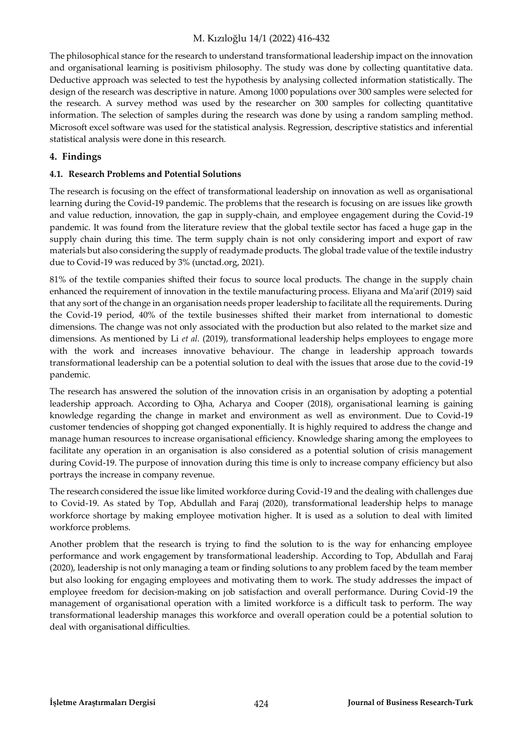The philosophical stance for the research to understand transformational leadership impact on the innovation and organisational learning is positivism philosophy. The study was done by collecting quantitative data. Deductive approach was selected to test the hypothesis by analysing collected information statistically. The design of the research was descriptive in nature. Among 1000 populations over 300 samples were selected for the research. A survey method was used by the researcher on 300 samples for collecting quantitative information. The selection of samples during the research was done by using a random sampling method. Microsoft excel software was used for the statistical analysis. Regression, descriptive statistics and inferential statistical analysis were done in this research.

### **4. Findings**

#### **4.1. Research Problems and Potential Solutions**

The research is focusing on the effect of transformational leadership on innovation as well as organisational learning during the Covid-19 pandemic. The problems that the research is focusing on are issues like growth and value reduction, innovation, the gap in supply-chain, and employee engagement during the Covid-19 pandemic. It was found from the literature review that the global textile sector has faced a huge gap in the supply chain during this time. The term supply chain is not only considering import and export of raw materials but also considering the supply of readymade products. The global trade value of the textile industry due to Covid-19 was reduced by 3% (unctad.org, 2021).

81% of the textile companies shifted their focus to source local products. The change in the supply chain enhanced the requirement of innovation in the textile manufacturing process. Eliyana and Ma'arif (2019) said that any sort of the change in an organisation needs proper leadership to facilitate all the requirements. During the Covid-19 period, 40% of the textile businesses shifted their market from international to domestic dimensions. The change was not only associated with the production but also related to the market size and dimensions. As mentioned by Li *et al*. (2019), transformational leadership helps employees to engage more with the work and increases innovative behaviour. The change in leadership approach towards transformational leadership can be a potential solution to deal with the issues that arose due to the covid-19 pandemic.

The research has answered the solution of the innovation crisis in an organisation by adopting a potential leadership approach. According to Ojha, Acharya and Cooper (2018), organisational learning is gaining knowledge regarding the change in market and environment as well as environment. Due to Covid-19 customer tendencies of shopping got changed exponentially. It is highly required to address the change and manage human resources to increase organisational efficiency. Knowledge sharing among the employees to facilitate any operation in an organisation is also considered as a potential solution of crisis management during Covid-19. The purpose of innovation during this time is only to increase company efficiency but also portrays the increase in company revenue.

The research considered the issue like limited workforce during Covid-19 and the dealing with challenges due to Covid-19. As stated by Top, Abdullah and Faraj (2020), transformational leadership helps to manage workforce shortage by making employee motivation higher. It is used as a solution to deal with limited workforce problems.

Another problem that the research is trying to find the solution to is the way for enhancing employee performance and work engagement by transformational leadership. According to Top, Abdullah and Faraj (2020), leadership is not only managing a team or finding solutions to any problem faced by the team member but also looking for engaging employees and motivating them to work. The study addresses the impact of employee freedom for decision-making on job satisfaction and overall performance. During Covid-19 the management of organisational operation with a limited workforce is a difficult task to perform. The way transformational leadership manages this workforce and overall operation could be a potential solution to deal with organisational difficulties.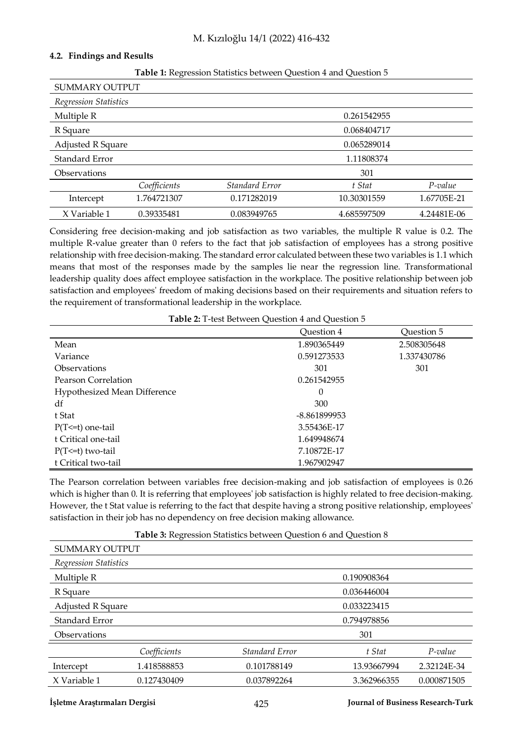#### **4.2. Findings and Results**

| ־ר                    |                                         |                |             |             |
|-----------------------|-----------------------------------------|----------------|-------------|-------------|
| <b>SUMMARY OUTPUT</b> |                                         |                |             |             |
| Regression Statistics |                                         |                |             |             |
| Multiple R            |                                         |                | 0.261542955 |             |
| R Square              |                                         |                | 0.068404717 |             |
|                       | <b>Adjusted R Square</b><br>0.065289014 |                |             |             |
| Standard Error        | 1.11808374                              |                |             |             |
| Observations          | 301                                     |                |             |             |
|                       | Coefficients                            | Standard Error | t Stat      | $P$ -value  |
| Intercept             | 1.764721307                             | 0.171282019    | 10.30301559 | 1.67705E-21 |
| X Variable 1          | 0.39335481                              | 0.083949765    | 4.685597509 | 4.24481E-06 |

#### **Table 1:** Regression Statistics between Question 4 and Question 5

Considering free decision-making and job satisfaction as two variables, the multiple R value is 0.2. The multiple R-value greater than 0 refers to the fact that job satisfaction of employees has a strong positive relationship with free decision-making. The standard error calculated between these two variables is 1.1 which means that most of the responses made by the samples lie near the regression line. Transformational leadership quality does affect employee satisfaction in the workplace. The positive relationship between job satisfaction and employees' freedom of making decisions based on their requirements and situation refers to the requirement of transformational leadership in the workplace.

|                              | Question 4   | Question 5  |
|------------------------------|--------------|-------------|
| Mean                         | 1.890365449  | 2.508305648 |
| Variance                     | 0.591273533  | 1.337430786 |
| <b>Observations</b>          | 301          | 301         |
| Pearson Correlation          | 0.261542955  |             |
| Hypothesized Mean Difference | $\Omega$     |             |
| df                           | 300          |             |
| t Stat                       | -8.861899953 |             |
| $P(T \le t)$ one-tail        | 3.55436E-17  |             |
| t Critical one-tail          | 1.649948674  |             |
| $P(T \le t)$ two-tail        | 7.10872E-17  |             |
| t Critical two-tail          | 1.967902947  |             |

The Pearson correlation between variables free decision-making and job satisfaction of employees is 0.26 which is higher than 0. It is referring that employees' job satisfaction is highly related to free decision-making. However, the t Stat value is referring to the fact that despite having a strong positive relationship, employees' satisfaction in their job has no dependency on free decision making allowance.

| Table 3: Regression Statistics between Question 6 and Question 8 |              |                |             |             |  |
|------------------------------------------------------------------|--------------|----------------|-------------|-------------|--|
| <b>SUMMARY OUTPUT</b>                                            |              |                |             |             |  |
| Regression Statistics                                            |              |                |             |             |  |
| Multiple R                                                       |              |                | 0.190908364 |             |  |
| R Square                                                         |              |                | 0.036446004 |             |  |
| <b>Adjusted R Square</b>                                         |              | 0.033223415    |             |             |  |
| Standard Error                                                   |              | 0.794978856    |             |             |  |
| <b>Observations</b>                                              |              | 301            |             |             |  |
|                                                                  | Coefficients | Standard Error | t Stat      | $P$ -value  |  |
| Intercept                                                        | 1.418588853  | 0.101788149    | 13.93667994 | 2.32124E-34 |  |
| X Variable 1                                                     | 0.127430409  | 0.037892264    | 3.362966355 | 0.000871505 |  |
|                                                                  |              |                |             |             |  |

**Table 3:** Regression Statistics between Question 6 and Question 8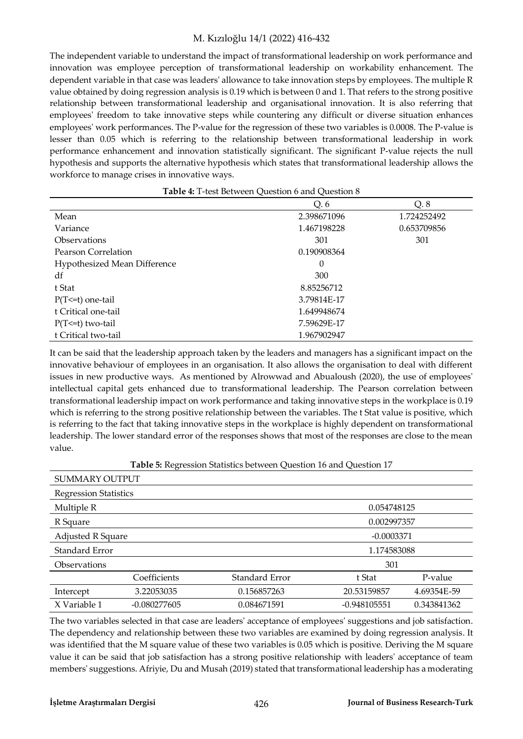The independent variable to understand the impact of transformational leadership on work performance and innovation was employee perception of transformational leadership on workability enhancement. The dependent variable in that case was leaders' allowance to take innovation steps by employees. The multiple R value obtained by doing regression analysis is 0.19 which is between 0 and 1. That refers to the strong positive relationship between transformational leadership and organisational innovation. It is also referring that employees' freedom to take innovative steps while countering any difficult or diverse situation enhances employees' work performances. The P-value for the regression of these two variables is 0.0008. The P-value is lesser than 0.05 which is referring to the relationship between transformational leadership in work performance enhancement and innovation statistically significant. The significant P-value rejects the null hypothesis and supports the alternative hypothesis which states that transformational leadership allows the workforce to manage crises in innovative ways.

| Table 4: T-test Between Question 6 and Question 8 |             |             |  |
|---------------------------------------------------|-------------|-------------|--|
|                                                   | O. 6        | Q.8         |  |
| Mean                                              | 2.398671096 | 1.724252492 |  |
| Variance                                          | 1.467198228 | 0.653709856 |  |
| <b>Observations</b>                               | 301         | 301         |  |
| Pearson Correlation                               | 0.190908364 |             |  |
| Hypothesized Mean Difference                      | $\Omega$    |             |  |
| df                                                | 300         |             |  |
| t Stat                                            | 8.85256712  |             |  |
| $P(T \le t)$ one-tail                             | 3.79814E-17 |             |  |
| t Critical one-tail                               | 1.649948674 |             |  |
| $P(T \le t)$ two-tail                             | 7.59629E-17 |             |  |
| t Critical two-tail                               | 1.967902947 |             |  |

It can be said that the leadership approach taken by the leaders and managers has a significant impact on the innovative behaviour of employees in an organisation. It also allows the organisation to deal with different issues in new productive ways. As mentioned by Alrowwad and Abualoush (2020), the use of employees' intellectual capital gets enhanced due to transformational leadership. The Pearson correlation between transformational leadership impact on work performance and taking innovative steps in the workplace is 0.19 which is referring to the strong positive relationship between the variables. The t Stat value is positive, which is referring to the fact that taking innovative steps in the workplace is highly dependent on transformational leadership. The lower standard error of the responses shows that most of the responses are close to the mean value.

| <b>Lavie 5.</b> Regression Juansucs Detween Question To and Question 17 |                                   |                |                |             |
|-------------------------------------------------------------------------|-----------------------------------|----------------|----------------|-------------|
| <b>SUMMARY OUTPUT</b>                                                   |                                   |                |                |             |
| <b>Regression Statistics</b>                                            |                                   |                |                |             |
| Multiple R                                                              | 0.054748125                       |                |                |             |
| R Square                                                                |                                   |                | 0.002997357    |             |
|                                                                         | Adjusted R Square<br>$-0.0003371$ |                |                |             |
| Standard Error                                                          | 1.174583088                       |                |                |             |
| 301<br><b>Observations</b>                                              |                                   |                |                |             |
|                                                                         | Coefficients                      | Standard Error | t Stat         | P-value     |
| Intercept                                                               | 3.22053035                        | 0.156857263    | 20.53159857    | 4.69354E-59 |
| X Variable 1                                                            | $-0.080277605$                    | 0.084671591    | $-0.948105551$ | 0.343841362 |

**Table 5:** Regression Statistics between Question 16 and Question 17

The two variables selected in that case are leaders' acceptance of employees' suggestions and job satisfaction. The dependency and relationship between these two variables are examined by doing regression analysis. It was identified that the M square value of these two variables is 0.05 which is positive. Deriving the M square value it can be said that job satisfaction has a strong positive relationship with leaders' acceptance of team members' suggestions. Afriyie, Du and Musah (2019) stated that transformational leadership has a moderating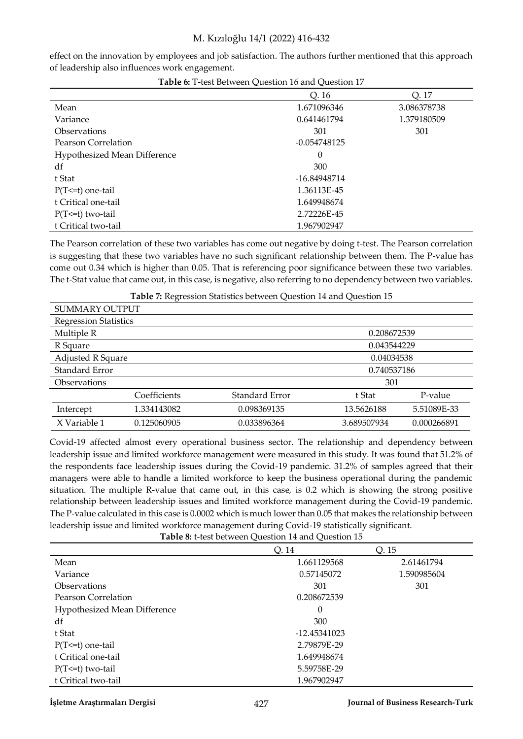effect on the innovation by employees and job satisfaction. The authors further mentioned that this approach of leadership also influences work engagement.

**Table 6:** T-test Between Question 16 and Question 17

|                                     | Q. 16          | Q. 17       |
|-------------------------------------|----------------|-------------|
| Mean                                | 1.671096346    | 3.086378738 |
| Variance                            | 0.641461794    | 1.379180509 |
| <b>Observations</b>                 | 301            | 301         |
| Pearson Correlation                 | $-0.054748125$ |             |
| <b>Hypothesized Mean Difference</b> | 0              |             |
| df                                  | 300            |             |
| t Stat                              | -16.84948714   |             |
| $P(T \le t)$ one-tail               | 1.36113E-45    |             |
| t Critical one-tail                 | 1.649948674    |             |
| $P(T \le t)$ two-tail               | 2.72226E-45    |             |
| t Critical two-tail                 | 1.967902947    |             |

The Pearson correlation of these two variables has come out negative by doing t-test. The Pearson correlation is suggesting that these two variables have no such significant relationship between them. The P-value has come out 0.34 which is higher than 0.05. That is referencing poor significance between these two variables. The t-Stat value that came out, in this case, is negative, also referring to no dependency between two variables.

| SUMMARY OUTPUT               |              |                |             |             |
|------------------------------|--------------|----------------|-------------|-------------|
| <b>Regression Statistics</b> |              |                |             |             |
| Multiple R                   | 0.208672539  |                |             |             |
| R Square                     | 0.043544229  |                |             |             |
| <b>Adjusted R Square</b>     | 0.04034538   |                |             |             |
| Standard Error               | 0.740537186  |                |             |             |
| <b>Observations</b>          | 301          |                |             |             |
|                              | Coefficients | Standard Error | t Stat      | P-value     |
| Intercept                    | 1.334143082  | 0.098369135    | 13.5626188  | 5.51089E-33 |
| X Variable 1                 | 0.125060905  | 0.033896364    | 3.689507934 | 0.000266891 |

**Table 7:** Regression Statistics between Question 14 and Question 15

Covid-19 affected almost every operational business sector. The relationship and dependency between leadership issue and limited workforce management were measured in this study. It was found that 51.2% of the respondents face leadership issues during the Covid-19 pandemic. 31.2% of samples agreed that their managers were able to handle a limited workforce to keep the business operational during the pandemic situation. The multiple R-value that came out, in this case, is 0.2 which is showing the strong positive relationship between leadership issues and limited workforce management during the Covid-19 pandemic. The P-value calculated in this case is 0.0002 which is much lower than 0.05 that makes the relationship between leadership issue and limited workforce management during Covid-19 statistically significant.

**Table 8:** t-test between Question 14 and Question 15 Q. 14 Q. 15 Mean 2.61461794 2.61461794 Variance 1.590985604 1.590985604 Observations 301 301 301 Pearson Correlation **0.208672539** Hypothesized Mean Difference 0  $df$  300 t Stat -12.45341023 P(T<=t) one-tail 2.79879E-29 t Critical one-tail and the control of the control of the control of the control of the control of the control of the control of the control of the control of the control of the control of the control of the control of the P(T<=t) two-tail 5.59758E-29 t Critical two-tail 1.967902947

#### **İşletme Araştırmaları Dergisi** 427 **Journal of Business Research-Turk**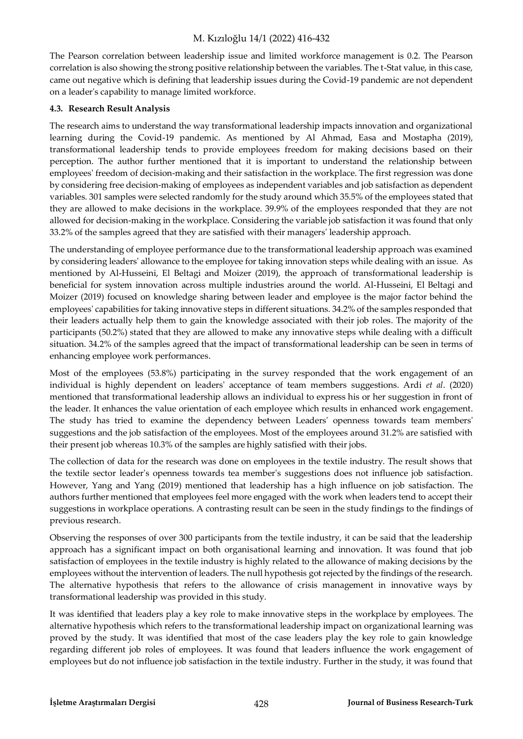The Pearson correlation between leadership issue and limited workforce management is 0.2. The Pearson correlation is also showing the strong positive relationship between the variables. The t-Stat value, in this case, came out negative which is defining that leadership issues during the Covid-19 pandemic are not dependent on a leader's capability to manage limited workforce.

### **4.3. Research Result Analysis**

The research aims to understand the way transformational leadership impacts innovation and organizational learning during the Covid-19 pandemic. As mentioned by Al Ahmad, Easa and Mostapha (2019), transformational leadership tends to provide employees freedom for making decisions based on their perception. The author further mentioned that it is important to understand the relationship between employees' freedom of decision-making and their satisfaction in the workplace. The first regression was done by considering free decision-making of employees as independent variables and job satisfaction as dependent variables. 301 samples were selected randomly for the study around which 35.5% of the employees stated that they are allowed to make decisions in the workplace. 39.9% of the employees responded that they are not allowed for decision-making in the workplace. Considering the variable job satisfaction it was found that only 33.2% of the samples agreed that they are satisfied with their managers' leadership approach.

The understanding of employee performance due to the transformational leadership approach was examined by considering leaders' allowance to the employee for taking innovation steps while dealing with an issue. As mentioned by Al-Husseini, El Beltagi and Moizer (2019), the approach of transformational leadership is beneficial for system innovation across multiple industries around the world. Al-Husseini, El Beltagi and Moizer (2019) focused on knowledge sharing between leader and employee is the major factor behind the employees' capabilities for taking innovative steps in different situations. 34.2% of the samples responded that their leaders actually help them to gain the knowledge associated with their job roles. The majority of the participants (50.2%) stated that they are allowed to make any innovative steps while dealing with a difficult situation. 34.2% of the samples agreed that the impact of transformational leadership can be seen in terms of enhancing employee work performances.

Most of the employees (53.8%) participating in the survey responded that the work engagement of an individual is highly dependent on leaders' acceptance of team members suggestions. Ardi *et al*. (2020) mentioned that transformational leadership allows an individual to express his or her suggestion in front of the leader. It enhances the value orientation of each employee which results in enhanced work engagement. The study has tried to examine the dependency between Leaders' openness towards team members' suggestions and the job satisfaction of the employees. Most of the employees around 31.2% are satisfied with their present job whereas 10.3% of the samples are highly satisfied with their jobs.

The collection of data for the research was done on employees in the textile industry. The result shows that the textile sector leader's openness towards tea member's suggestions does not influence job satisfaction. However, Yang and Yang (2019) mentioned that leadership has a high influence on job satisfaction. The authors further mentioned that employees feel more engaged with the work when leaders tend to accept their suggestions in workplace operations. A contrasting result can be seen in the study findings to the findings of previous research.

Observing the responses of over 300 participants from the textile industry, it can be said that the leadership approach has a significant impact on both organisational learning and innovation. It was found that job satisfaction of employees in the textile industry is highly related to the allowance of making decisions by the employees without the intervention of leaders. The null hypothesis got rejected by the findings of the research. The alternative hypothesis that refers to the allowance of crisis management in innovative ways by transformational leadership was provided in this study.

It was identified that leaders play a key role to make innovative steps in the workplace by employees. The alternative hypothesis which refers to the transformational leadership impact on organizational learning was proved by the study. It was identified that most of the case leaders play the key role to gain knowledge regarding different job roles of employees. It was found that leaders influence the work engagement of employees but do not influence job satisfaction in the textile industry. Further in the study, it was found that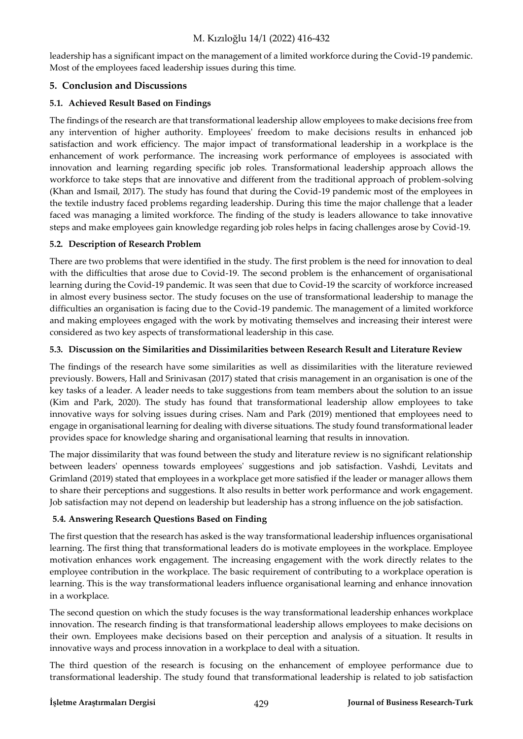leadership has a significant impact on the management of a limited workforce during the Covid-19 pandemic. Most of the employees faced leadership issues during this time.

# **5. Conclusion and Discussions**

# **5.1. Achieved Result Based on Findings**

The findings of the research are that transformational leadership allow employees to make decisions free from any intervention of higher authority. Employees' freedom to make decisions results in enhanced job satisfaction and work efficiency. The major impact of transformational leadership in a workplace is the enhancement of work performance. The increasing work performance of employees is associated with innovation and learning regarding specific job roles. Transformational leadership approach allows the workforce to take steps that are innovative and different from the traditional approach of problem-solving (Khan and Ismail, 2017). The study has found that during the Covid-19 pandemic most of the employees in the textile industry faced problems regarding leadership. During this time the major challenge that a leader faced was managing a limited workforce. The finding of the study is leaders allowance to take innovative steps and make employees gain knowledge regarding job roles helps in facing challenges arose by Covid-19.

# **5.2. Description of Research Problem**

There are two problems that were identified in the study. The first problem is the need for innovation to deal with the difficulties that arose due to Covid-19. The second problem is the enhancement of organisational learning during the Covid-19 pandemic. It was seen that due to Covid-19 the scarcity of workforce increased in almost every business sector. The study focuses on the use of transformational leadership to manage the difficulties an organisation is facing due to the Covid-19 pandemic. The management of a limited workforce and making employees engaged with the work by motivating themselves and increasing their interest were considered as two key aspects of transformational leadership in this case.

# **5.3. Discussion on the Similarities and Dissimilarities between Research Result and Literature Review**

The findings of the research have some similarities as well as dissimilarities with the literature reviewed previously. Bowers, Hall and Srinivasan (2017) stated that crisis management in an organisation is one of the key tasks of a leader. A leader needs to take suggestions from team members about the solution to an issue (Kim and Park, 2020). The study has found that transformational leadership allow employees to take innovative ways for solving issues during crises. Nam and Park (2019) mentioned that employees need to engage in organisational learning for dealing with diverse situations. The study found transformational leader provides space for knowledge sharing and organisational learning that results in innovation.

The major dissimilarity that was found between the study and literature review is no significant relationship between leaders' openness towards employees' suggestions and job satisfaction. Vashdi, Levitats and Grimland (2019) stated that employees in a workplace get more satisfied if the leader or manager allows them to share their perceptions and suggestions. It also results in better work performance and work engagement. Job satisfaction may not depend on leadership but leadership has a strong influence on the job satisfaction.

# **5.4. Answering Research Questions Based on Finding**

The first question that the research has asked is the way transformational leadership influences organisational learning. The first thing that transformational leaders do is motivate employees in the workplace. Employee motivation enhances work engagement. The increasing engagement with the work directly relates to the employee contribution in the workplace. The basic requirement of contributing to a workplace operation is learning. This is the way transformational leaders influence organisational learning and enhance innovation in a workplace.

The second question on which the study focuses is the way transformational leadership enhances workplace innovation. The research finding is that transformational leadership allows employees to make decisions on their own. Employees make decisions based on their perception and analysis of a situation. It results in innovative ways and process innovation in a workplace to deal with a situation.

The third question of the research is focusing on the enhancement of employee performance due to transformational leadership. The study found that transformational leadership is related to job satisfaction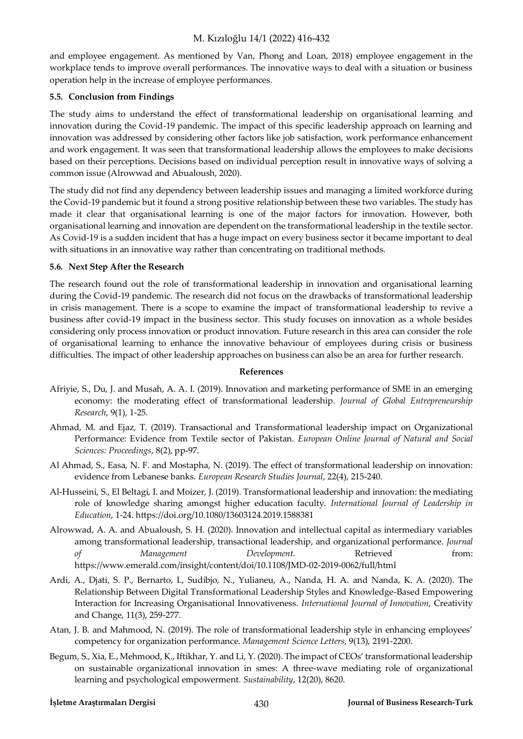and employee engagement. As mentioned by Van, Phong and Loan, 2018) employee engagement in the workplace tends to improve overall performances. The innovative ways to deal with a situation or business operation help in the increase of employee performances.

#### **5.5. Conclusion from Findings**

The study aims to understand the effect of transformational leadership on organisational learning and innovation during the Covid-19 pandemic. The impact of this specific leadership approach on learning and innovation was addressed by considering other factors like job satisfaction, work performance enhancement and work engagement. It was seen that transformational leadership allows the employees to make decisions based on their perceptions. Decisions based on individual perception result in innovative ways of solving a common issue (Alrowwad and Abualoush, 2020).

The study did not find any dependency between leadership issues and managing a limited workforce during the Covid-19 pandemic but it found a strong positive relationship between these two variables. The study has made it clear that organisational learning is one of the major factors for innovation. However, both organisational learning and innovation are dependent on the transformational leadership in the textile sector. As Covid-19 is a sudden incident that has a huge impact on every business sector it became important to deal with situations in an innovative way rather than concentrating on traditional methods.

#### **5.6. Next Step After the Research**

The research found out the role of transformational leadership in innovation and organisational learning during the Covid-19 pandemic. The research did not focus on the drawbacks of transformational leadership in crisis management. There is a scope to examine the impact of transformational leadership to revive a business after covid-19 impact in the business sector. This study focuses on innovation as a whole besides considering only process innovation or product innovation. Future research in this area can consider the role of organisational learning to enhance the innovative behaviour of employees during crisis or business difficulties. The impact of other leadership approaches on business can also be an area for further research.

#### **References**

- Afriyie, S., Du, J. and Musah, A. A. I. (2019). Innovation and marketing performance of SME in an emerging economy: the moderating effect of transformational leadership. *Journal of Global Entrepreneurship Research*, 9(1), 1-25.
- Ahmad, M. and Ejaz, T. (2019). Transactional and Transformational leadership impact on Organizational Performance: Evidence from Textile sector of Pakistan. *European Online Journal of Natural and Social Sciences: Proceedings*, 8(2), pp-97.
- Al Ahmad, S., Easa, N. F. and Mostapha, N. (2019). The effect of transformational leadership on innovation: evidence from Lebanese banks. *European Research Studies Journal*, 22(4), 215-240.
- Al-Husseini, S., El Beltagi, I. and Moizer, J. (2019). Transformational leadership and innovation: the mediating role of knowledge sharing amongst higher education faculty. *International Journal of Leadership in Education*, 1-24[. https://doi.org/10.1080/13603124.2019.1588381](https://doi.org/10.1080/13603124.2019.1588381)
- Alrowwad, A. A. and Abualoush, S. H. (2020). Innovation and intellectual capital as intermediary variables among transformational leadership, transactional leadership, and organizational performance. *Journal of Management Development.* Retrieved from: https://www.emerald.com/insight/content/doi/10.1108/JMD-02-2019-0062/full/html
- Ardi, A., Djati, S. P., Bernarto, I., Sudibjo, N., Yulianeu, A., Nanda, H. A. and Nanda, K. A. (2020). The Relationship Between Digital Transformational Leadership Styles and Knowledge-Based Empowering Interaction for Increasing Organisational Innovativeness. *International Journal of Innovation*, Creativity and Change, 11(3), 259-277.
- Atan, J. B. and Mahmood, N. (2019). The role of transformational leadership style in enhancing employees' competency for organization performance. *Management Science Letters*, 9(13), 2191-2200.
- Begum, S., Xia, E., Mehmood, K., Iftikhar, Y. and Li, Y. (2020). The impact of CEOs' transformational leadership on sustainable organizational innovation in smes: A three-wave mediating role of organizational learning and psychological empowerment. *Sustainability*, 12(20), 8620.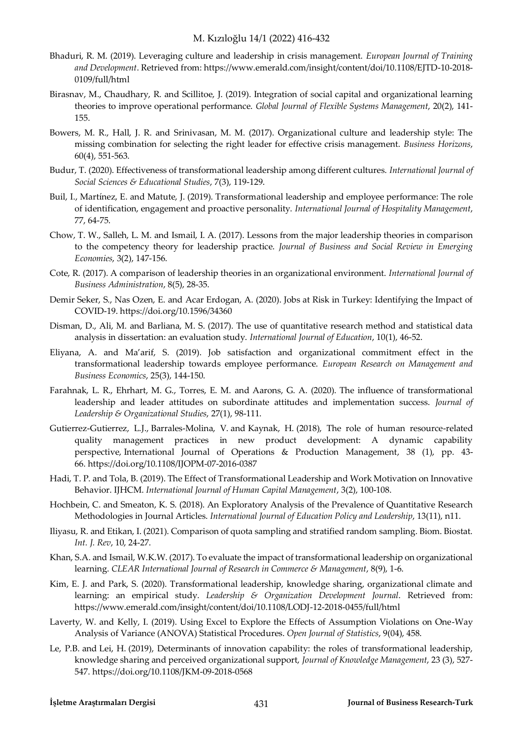- Bhaduri, R. M. (2019). Leveraging culture and leadership in crisis management. *European Journal of Training and Development*. Retrieved from: https://www.emerald.com/insight/content/doi/10.1108/EJTD-10-2018- 0109/full/html
- Birasnav, M., Chaudhary, R. and Scillitoe, J. (2019). Integration of social capital and organizational learning theories to improve operational performance. *Global Journal of Flexible Systems Management*, 20(2), 141- 155.
- Bowers, M. R., Hall, J. R. and Srinivasan, M. M. (2017). Organizational culture and leadership style: The missing combination for selecting the right leader for effective crisis management. *Business Horizons*, 60(4), 551-563.
- Budur, T. (2020). Effectiveness of transformational leadership among different cultures. *International Journal of Social Sciences & Educational Studies*, 7(3), 119-129.
- Buil, I., Martínez, E. and Matute, J. (2019). Transformational leadership and employee performance: The role of identification, engagement and proactive personality. *International Journal of Hospitality Management*, 77, 64-75.
- Chow, T. W., Salleh, L. M. and Ismail, I. A. (2017). Lessons from the major leadership theories in comparison to the competency theory for leadership practice. *Journal of Business and Social Review in Emerging Economies*, 3(2), 147-156.
- Cote, R. (2017). A comparison of leadership theories in an organizational environment. *International Journal of Business Administration*, 8(5), 28-35.
- Demir Seker, S., Nas Ozen, E. and Acar Erdogan, A. (2020). Jobs at Risk in Turkey: Identifying the Impact of COVID-19[. https://doi.org/10.1596/34360](https://doi.org/10.1596/34360)
- Disman, D., Ali, M. and Barliana, M. S. (2017). The use of quantitative research method and statistical data analysis in dissertation: an evaluation study. *International Journal of Education*, 10(1), 46-52.
- Eliyana, A. and Ma'arif, S. (2019). Job satisfaction and organizational commitment effect in the transformational leadership towards employee performance. *European Research on Management and Business Economics*, 25(3), 144-150.
- Farahnak, L. R., Ehrhart, M. G., Torres, E. M. and Aarons, G. A. (2020). The influence of transformational leadership and leader attitudes on subordinate attitudes and implementation success. *Journal of Leadership & Organizational Studies*, 27(1), 98-111.
- [Gutierrez-Gutierrez, L.J.,](https://www.emerald.com/insight/search?q=Leopoldo%20J.%20Gutierrez-Gutierrez) [Barrales-Molina, V.](https://www.emerald.com/insight/search?q=Vanesa%20Barrales-Molina) and [Kaynak, H.](https://www.emerald.com/insight/search?q=Hale%20Kaynak) (2018), The role of human resource-related quality management practices in new product development: A dynamic capability perspective, [International Journal of Operations & Production Management,](https://www.emerald.com/insight/publication/issn/0144-3577) 38 (1), pp. 43- 66.<https://doi.org/10.1108/IJOPM-07-2016-0387>
- Hadi, T. P. and Tola, B. (2019). The Effect of Transformational Leadership and Work Motivation on Innovative Behavior. IJHCM. *International Journal of Human Capital Management*, 3(2), 100-108.
- Hochbein, C. and Smeaton, K. S. (2018). An Exploratory Analysis of the Prevalence of Quantitative Research Methodologies in Journal Articles. *International Journal of Education Policy and Leadership*, 13(11), n11.
- Iliyasu, R. and Etikan, I. (2021). Comparison of quota sampling and stratified random sampling. Biom. Biostat. *Int. J. Rev*, 10, 24-27.
- Khan, S.A. and Ismail, W.K.W. (2017). To evaluate the impact of transformational leadership on organizational learning. *CLEAR International Journal of Research in Commerce & Management*, 8(9), 1-6.
- Kim, E. J. and Park, S. (2020). Transformational leadership, knowledge sharing, organizational climate and learning: an empirical study. *Leadership & Organization Development Journal*. Retrieved from: https://www.emerald.com/insight/content/doi/10.1108/LODJ-12-2018-0455/full/html
- Laverty, W. and Kelly, I. (2019). Using Excel to Explore the Effects of Assumption Violations on One-Way Analysis of Variance (ANOVA) Statistical Procedures. *Open Journal of Statistics*, 9(04), 458.
- [Le, P.B.](https://www.emerald.com/insight/search?q=Phong%20Ba%20Le) and [Lei, H.](https://www.emerald.com/insight/search?q=Hui%20Lei) (2019), Determinants of innovation capability: the roles of transformational leadership, knowledge sharing and perceived organizational support, *[Journal of Knowledge Management](https://www.emerald.com/insight/publication/issn/1367-3270)*, 23 (3), 527- 547.<https://doi.org/10.1108/JKM-09-2018-0568>